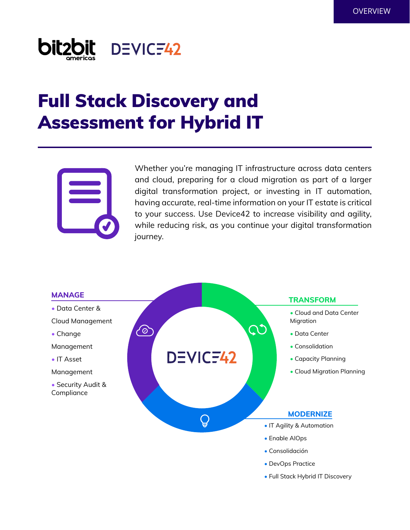

# Full Stack Discovery and Assessment for Hybrid IT



Whether you're managing IT infrastructure across data centers and cloud, preparing for a cloud migration as part of a larger digital transformation project, or investing in IT automation, having accurate, real-time information on your IT estate is critical to your success. Use Device42 to increase visibility and agility, while reducing risk, as you continue your digital transformation journey.

 $\mathsf{C}\mathsf{O}$ 

- Data Center &
- Cloud Management
- Change
- Management
- IT Asset
- Management
- Security Audit & Compliance



## DEVICF42

 $\mathsf{Q}$ 

### **MANAGE TRANSFORM**

- Cloud and Data Center Migration
- Data Center
- Consolidation
- Capacity Planning
- Cloud Migration Planning

#### **MODERNIZE**

- IT Agility & Automation
- Enable AIOps
- Consolidación
- DevOps Practice
- Full Stack Hybrid IT Discovery